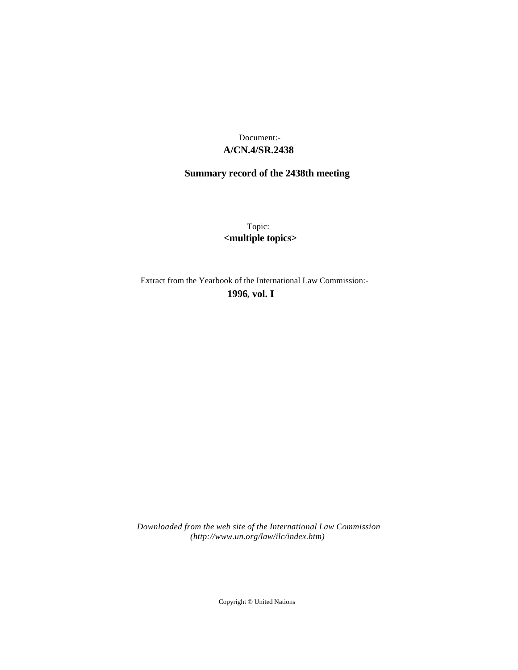# **A/CN.4/SR.2438** Document:-

# **Summary record of the 2438th meeting**

Topic: **<multiple topics>**

Extract from the Yearbook of the International Law Commission:-

**1996** , **vol. I**

*Downloaded from the web site of the International Law Commission (http://www.un.org/law/ilc/index.htm)*

Copyright © United Nations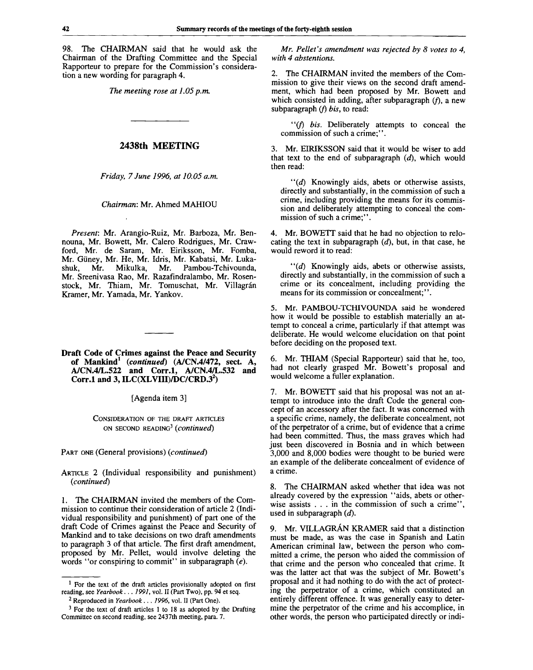98. The CHAIRMAN said that he would ask the Chairman of the Drafting Committee and the Special Rapporteur to prepare for the Commission's consideration a new wording for paragraph 4.

*The meeting rose at 1.05 p.m.*

#### **2438th MEETING**

*Friday, 7 June 1996, at 10.05 a.m.*

#### *Chairman:* Mr. Ahmed MAHIOU

*Present:* Mr. Arangio-Ruiz, Mr. Barboza, Mr. Bennouna, Mr. Bowett, Mr. Calero Rodrigues, Mr. Crawford, Mr. de Saram, Mr. Eiriksson, Mr. Fomba, Mr. Giiney, Mr. He, Mr. Idris, Mr. Kabatsi, Mr. Lukashuk, Mr. Mikulka, Mr. Sreenivasa Rao, Mr. Razafindralambo, Mr. Rosen stock, Mr. Thiam, Mr. Tomuschat, Mr. Villagrán Kramer, Mr. Yamada, Mr . Yankov. Mr. Pambou-Tchivounda,

#### **Draft Code of Crimes against the Peace and Security of Mankind<sup>1</sup>**  *(continued)* **(A/CN.4/472, sect. A, A/CN.4/L.522 and Corr.l, A/CN.4/L.532 and Corr.l and 3, ILC(XLVIII)/DC/CRD.3<sup>2</sup> )**

[Agenda item 3]

CONSIDERATION OF THE DRAFT ARTICLES ON SECOND READING<sup>3</sup>  *{continued)*

PART ONE (General provisions) *(continued)*

ARTICLE 2 (Individual responsibility and punishment) *(continued)*

1. The CHAIRMAN invited the members of the Commission to continue their consideration of article 2 (Individual responsibility and punishment) of part one of the draft Code of Crimes against the Peace and Security of Mankind and to take decisions on two draft amendments to paragraph 3 of that article. The first draft amendment, proposed by Mr. Pellet, would involve deleting the words "or conspiring to commit" in subparagraph *(e).*

*Mr. Pellet's amendment was rejected by 8 votes to 4, with 4 abstentions.*

*2.* The CHAIRMAN invited the members of the Commission to give their views on the second draft amendment, which had been proposed by Mr. Bowett and which consisted in adding, after subparagraph  $(f)$ , a new subparagraph *(f) bis,* to read:

"(/) *bis.* Deliberately attempts to conceal the commission of such a crime;".

3. Mr. EIRIKSSON said that it would be wiser to add that text to the end of subparagraph *(d),* which would then read:

 $''(d)$  Knowingly aids, abets or otherwise assists, directly and substantially, in the commission of such a crime, including providing the means for its commission and deliberately attempting to conceal the commission of such a crime;".

4. Mr. BOWETT said that he had no objection to relocating the text in subparagraph *(d),* but, in that case, he would reword it to read:

 $\lq\lq d$  Knowingly aids, abets or otherwise assists, directly and substantially, in the commission of such a crime or its concealment, including providing the means for its commission or concealment;".

5. Mr. PAMBOU-TCHIVOUNDA said he wondered how it would be possible to establish materially an attempt to conceal a crime, particularly if that attempt was deliberate. He would welcome elucidation on that point before deciding on the proposed text.

6. Mr. THIAM (Special Rapporteur) said that he, too, had not clearly grasped Mr. Bowett's proposal and would welcome a fuller explanation.

7. Mr. BOWETT said that his proposal was not an attempt to introduce into the draft Code the general concept of an accessory after the fact. It was concerned with a specific crime, namely, the deliberate concealment, not of the perpetrator of a crime, but of evidence that a crime had been committed. Thus, the mass graves which had just been discovered in Bosnia and in which between 3,000 and 8,000 bodies were thought to be buried were an example of the deliberate concealment of evidence of a crime.

8. The CHAIRMAN asked whether that idea was not already covered by the expression "aids, abets or otherwise assists . . . in the commission of such a crime", used in subparagraph *(d).*

9. Mr. VILLAGRAN KRAMER said that a distinction must be made, as was the case in Spanish and Latin American criminal law, between the person who committed a crime, the person who aided the commission of that crime and the person who concealed that crime. It was the latter act that was the subject of Mr. Bowett's proposal and it had nothing to do with the act of protecting the perpetrator of a crime, which constituted an entirely different offence. It was generally easy to determine the perpetrator of the crime and his accomplice, in other words, the person who participated directly or indi-

<sup>&</sup>lt;sup>1</sup> For the text of the draft articles provisionally adopted on first reading, see *Yearbook. . . 1991,* vol. II (Part Two), pp. 94 et seq.

<sup>2</sup> Reproduced in *Yearbook . . . 1996,* vol. II (Part One).

<sup>&</sup>lt;sup>3</sup> For the text of draft articles 1 to 18 as adopted by the Drafting Committee on second reading, see 2437th meeting, para. 7.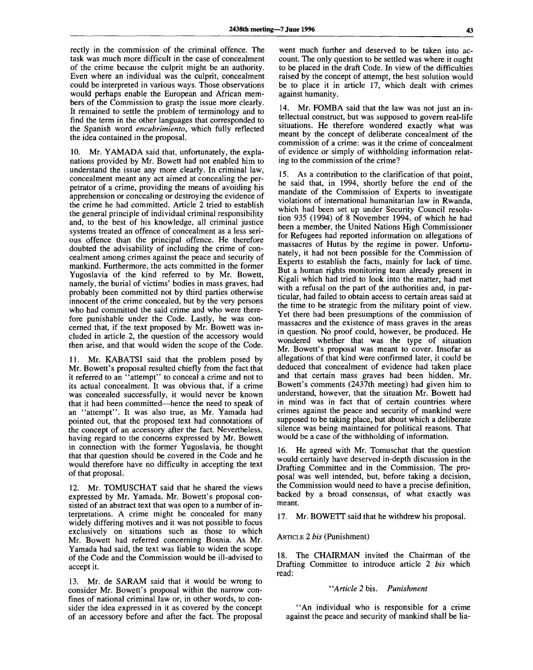rectly in the commission of the criminal offence. The task was much more difficult in the case of concealment of the crime because the culprit might be an authority. Even where an individual was the culprit, concealment could be interpreted in various ways. Those observations would perhaps enable the European and African members of the Commission to grasp the issue more clearly. It remained to settle the problem of terminology and to find the term in the other languages that corresponded to the Spanish word *encubrimiento,* which fully reflected the idea contained in the proposal.

10. Mr. YAMADA said that, unfortunately, the explanations provided by Mr. Bowett had not enabled him to understand the issue any more clearly. In criminal law, concealment meant any act aimed at concealing the perpetrator of a crime, providing the means of avoiding his apprehension or concealing or destroying the evidence of the crime he had committed. Article 2 tried to establish the general principle of individual criminal responsibility and, to the best of his knowledge, all criminal justice systems treated an offence of concealment as a less serious offence than the principal offence. He therefore doubted the advisability of including the crime of concealment among crimes against the peace and security of mankind. Furthermore, the acts committed in the former Yugoslavia of the kind referred to by Mr. Bowett, namely, the burial of victims' bodies in mass graves, had probably been committed not by third parties otherwise innocent of the crime concealed, but by the very persons who had committed the said crime and who were therefore punishable under the Code. Lastly, he was concerned that, if the text proposed by Mr. Bowett was included in article 2, the question of the accessory would then arise, and that would widen the scope of the Code.

11. Mr. KABATSI said that the problem posed by Mr. Bowett's proposal resulted chiefly from the fact that it referred to an "attempt" to conceal a crime and not to its actual concealment. It was obvious that, if a crime was concealed successfully, it would never be known that it had been committed—hence the need to speak of an "attempt". It was also true, as Mr. Yamada had pointed out, that the proposed text had connotations of the concept of an accessory after the fact. Nevertheless, having regard to the concerns expressed by Mr. Bowett in connection with the former Yugoslavia, he thought that that question should be covered in the Code and he would therefore have no difficulty in accepting the text of that proposal.

12. Mr. TOMUSCHAT said that he shared the views expressed by Mr. Yamada. Mr. Bowett's proposal consisted of an abstract text that was open to a number of interpretations. A crime might be concealed for many widely differing motives and it was not possible to focus exclusively on situations such as those to which Mr. Bowett had referred concerning Bosnia. As Mr. Yamada had said, the text was liable to widen the scope of the Code and the Commission would be ill-advised to accept it.

13. Mr. de SARAM said that it would be wrong to consider Mr. Bowett's proposal within the narrow confines of national criminal law or, in other words, to consider the idea expressed in it as covered by the concept of an accessory before and after the fact. The proposal

went much further and deserved to be taken into account. The only question to be settled was where it ought to be placed in the draft Code. In view of the difficulties raised by the concept of attempt, the best solution would be to place it in article 17, which dealt with crimes against humanity.

14. Mr. FOMBA said that the law was not just an intellectual construct, but was supposed to govern real-life situations. He therefore wondered exactly what was meant by the concept of deliberate concealment of the commission of a crime: was it the crime of concealment of evidence or simply of withholding information relating to the commission of the crime?

15. As a contribution to the clarification of that point, he said that, in 1994, shortly before the end of the mandate of the Commission of Experts to investigate violations of international humanitarian law in Rwanda, which had been set up under Security Council resolution 935 (1994) of 8 November 1994, of which he had been a member, the United Nations High Commissioner for Refugees had reported information on allegations of massacres of Hutus by the regime in power. Unfortunately, it had not been possible for the Commission of Experts to establish the facts, mainly for lack of time. But a human rights monitoring team already present in Kigali which had tried to look into the matter, had met with a refusal on the part of the authorities and, in particular, had failed to obtain access to certain areas said at the time to be strategic from the military point of view. Yet there had been presumptions of the commission of massacres and the existence of mass graves in the areas in question. No proof could, however, be produced. He wondered whether that was the type of situation Mr. Bowett's proposal was meant to cover. Insofar as allegations of that kind were confirmed later, it could be deduced that concealment of evidence had taken place and that certain mass graves had been hidden. Mr. Bowett's comments (2437th meeting) had given him to understand, however, that the situation Mr. Bowett had in mind was in fact that of certain countries where crimes against the peace and security of mankind were supposed to be taking place, but about which a deliberate silence was being maintained for political reasons. That would be a case of the withholding of information.

16. He agreed with Mr. Tomuschat that the question would certainly have deserved in-depth discussion in the Drafting Committee and in the Commission. The proposal was well intended, but, before taking a decision, the Commission would need to have a precise definition, backed by a broad consensus, of what exactly was meant.

17. Mr. BOWETT said that he withdrew his proposal.

ARTICLE 2 *bis* (Punishment)

18. The CHAIRMAN invited the Chairman of the Drafting Committee to introduce article 2 *bis* which read:

## *"Article 2* bis. *Punishment*

"An individual who is responsible for a crime against the peace and security of mankind shall be lia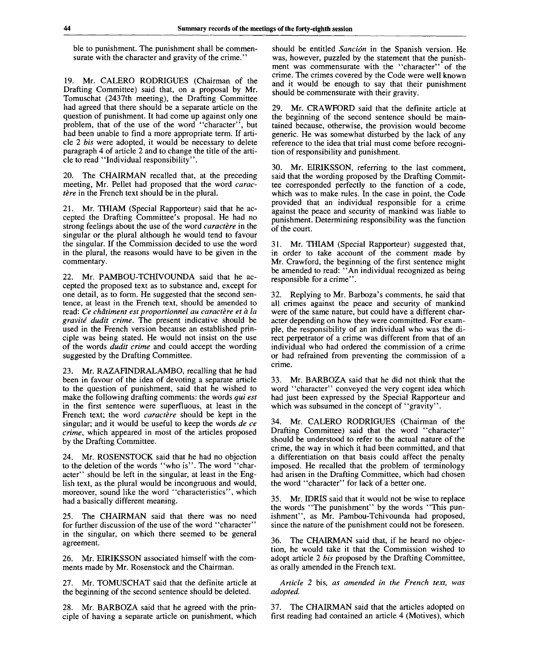ble to punishment. The punishment shall be commensurate with the character and gravity of the crime."

19. Mr. CALERO RODRIGUES (Chairman of the Drafting Committee) said that, on a proposal by Mr. Tomuschat (2437th meeting), the Drafting Committee had agreed that there should be a separate article on the question of punishment. It had come up against only one problem, that of the use of the word "character", but had been unable to find a more appropriate term. If article 2 *bis* were adopted, it would be necessary to delete paragraph 4 of article 2 and to change the title of the article to read "Individual responsibility".

20. The CHAIRMAN recalled that, at the preceding meeting, Mr. Pellet had proposed that the word *caractère* in the French text should be in the plural.

21. Mr. THIAM (Special Rapporteur) said that he accepted the Drafting Committee's proposal. He had no strong feelings about the use of the word *caractere* in the singular or the plural although he would tend to favour the singular. If the Commission decided to use the word in the plural, the reasons would have to be given in the commentary.

22. Mr. PAMBOU-TCHIVOUNDA said that he accepted the proposed text as to substance and, except for one detail, as to form. He suggested that the second sentence, at least in the French text, should be amended to read: *Ce chdtiment est proportionnel au caractere et a la gravite dudit crime.* The present indicative should be used in the French version because an established principle was being stated. He would not insist on the use of the words *dudit crime* and could accept the wording suggested by the Drafting Committee.

23. Mr. RAZAFINDRALAMBO, recalling that he had been in favour of the idea of devoting a separate article to the question of punishment, said that he wished to make the following drafting comments: the words *qui est* in the first sentence were superfluous, at least in the French text; the word *caractère* should be kept in the singular; and it would be useful to keep the words *de ce crime,* which appeared in most of the articles proposed by the Drafting Committee.

24. Mr. ROSENSTOCK said that he had no objection to the deletion of the words "who is". The word "character" should be left in the singular, at least in the English text, as the plural would be incongruous and would, moreover, sound like the word "characteristics", which had a basically different meaning.

25. The CHAIRMAN said that there was no need for further discussion of the use of the word "character" in the singular, on which there seemed to be general agreement.

26. Mr. EIRIKSSON associated himself with the comments made by Mr. Rosenstock and the Chairman.

27. Mr. TOMUSCHAT said that the definite article at the beginning of the second sentence should be deleted.

28. Mr. BARBOZA said that he agreed with the principle of having a separate article on punishment, which should be entitled *Sancion* in the Spanish version. He was, however, puzzled by the statement that the punishment was commensurate with the "character" of the crime. The crimes covered by the Code were well known and it would be enough to say that their punishment should be commensurate with their gravity.

29. Mr. CRAWFORD said that the definite article at the beginning of the second sentence should be maintained because, otherwise, the provision would become generic. He was somewhat disturbed by the lack of any reference to the idea that trial must come before recognition of responsibility and punishment.

30. Mr. EIRIKSSON, referring to the last comment, said that the wording proposed by the Drafting Committee corresponded perfectly to the function of a code, which was to make rules. In the case in point, the Code provided that an individual responsible for a crime against the peace and security of mankind was liable to punishment. Determining responsibility was the function of the court.

31. Mr. THIAM (Special Rapporteur) suggested that, in order to take account of the comment made by Mr. Crawford, the beginning of the first sentence might be amended to read: "An individual recognized as being responsible for a crime".

32. Replying to Mr. Barboza's comments, he said that all crimes against the peace and security of mankind were of the same nature, but could have a different character depending on how they were committed. For example, the responsibility of an individual who was the direct perpetrator of a crime was different from that of an individual who had ordered the commission of a crime or had refrained from preventing the commission of a crime.

33. Mr. BARBOZA said that he did not think that the word "character" conveyed the very cogent idea which had just been expressed by the Special Rapporteur and which was subsumed in the concept of "gravity".

34. Mr. CALERO RODRIGUES (Chairman of the Drafting Committee) said that the word "character" should be understood to refer to the actual nature of the crime, the way in which it had been committed, and that a differentiation on that basis could affect the penalty imposed. He recalled that the problem of terminology had arisen in the Drafting Committee, which had chosen the word "character" for lack of a better one.

35. Mr. IDRIS said that it would not be wise to replace the words "The punishment" by the words "This punishment", as Mr. Pambou-Tchivounda had proposed, since the nature of the punishment could not be foreseen.

36. The CHAIRMAN said that, if he heard no objection, he would take it that the Commission wished to adopt article 2 *bis* proposed by the Drafting Committee, as orally amended in the French text.

*Article 2* bis, *as amended in the French text, was adopted.*

37. The CHAIRMAN said that the articles adopted on first reading had contained an article 4 (Motives), which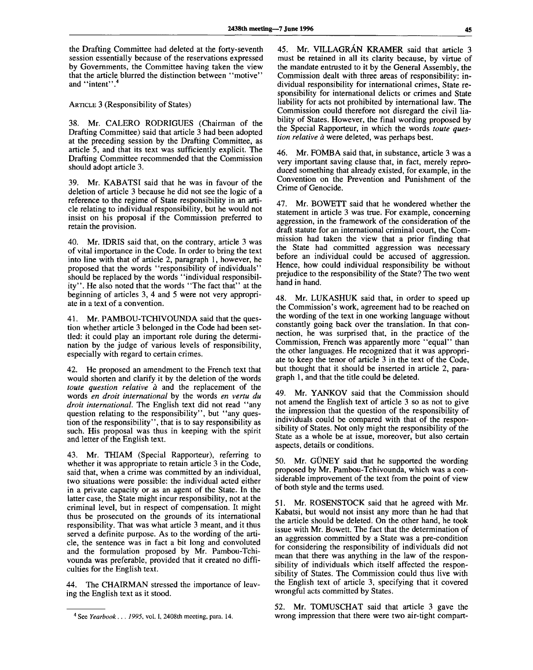the Drafting Committee had deleted at the forty-seventh session essentially because of the reservations expressed by Governments, the Committee having taken the view that the article blurred the distinction between "motive" and "intent".

ARTICLE 3 (Responsibility of States)

38. Mr. CALERO RODRIGUES (Chairman of the Drafting Committee) said that article 3 had been adopted at the preceding session by the Drafting Committee, as article 5, and that its text was sufficiently explicit. The Drafting Committee recommended that the Commission should adopt article 3.

39. Mr. KABATSI said that he was in favour of the deletion of article 3 because he did not see the logic of a reference to the regime of State responsibility in an article relating to individual responsibility, but he would not insist on his proposal if the Commission preferred to retain the provision.

40. Mr. IDRIS said that, on the contrary, article 3 was of vital importance in the Code. In order to bring the text into line with that of article 2, paragraph 1, however, he proposed that the words "responsibility of individuals" should be replaced by the words "individual responsibility". He also noted that the words "The fact that" at the beginning of articles 3, 4 and 5 were not very appropriate in a text of a convention.

41. Mr. PAMBOU-TCHIVOUNDA said that the question whether article 3 belonged in the Code had been settled: it could play an important role during the determination by the judge of various levels of responsibility, especially with regard to certain crimes.

42. He proposed an amendment to the French text that would shorten and clarify it by the deletion of the words *toute question relative à* and the replacement of the words *en droit international* by the words *en vertu du droit international.* The English text did not read "any question relating to the responsibility", but "any question of the responsibility", that is to say responsibility as such. His proposal was thus in keeping with the spirit and letter of the English text.

Mr. THIAM (Special Rapporteur), referring to whether it was appropriate to retain article 3 in the Code, said that, when a crime was committed by an individual, two situations were possible: the individual acted either in a private capacity or as an agent of the State. In the latter case, the State might incur responsibility, not at the criminal level, but in respect of compensation. It might thus be prosecuted on the grounds of its international responsibility. That was what article 3 meant, and it thus served a definite purpose. As to the wording of the article, the sentence was in fact a bit long and convoluted and the formulation proposed by Mr. Pambou-Tchivounda was preferable, provided that it created no difficulties for the English text.

44. The CHAIRMAN stressed the importance of leaving the English text as it stood.

45. Mr. VILLAGRAN KRAMER said that article 3 must be retained in all its clarity because, by virtue of the mandate entrusted to it by the General Assembly, the Commission dealt with three areas of responsibility: individual responsibility for international crimes, State responsibility for international delicts or crimes and State liability for acts not prohibited by international law. The Commission could therefore not disregard the civil liability of States. However, the final wording proposed by the Special Rapporteur, in which the words *toute question relative a* were deleted, was perhaps best.

46. Mr. FOMBA said that, in substance, article 3 was a very important saving clause that, in fact, merely reproduced something that already existed, for example, in the Convention on the Prevention and Punishment of the Crime of Genocide.

47. Mr. BOWETT said that he wondered whether the statement in article 3 was true. For example, concerning aggression, in the framework of the consideration of the draft statute for an international criminal court, the Commission had taken the view that a prior finding that the State had committed aggression was necessary before an individual could be accused of aggression. Hence, how could individual responsibility be without prejudice to the responsibility of the State? The two went hand in hand.

48. Mr. LUKASHUK said that, in order to speed up the Commission's work, agreement had to be reached on the wording of the text in one working language without constantly going back over the translation. In that connection, he was surprised that, in the practice of the Commission, French was apparently more "equal" than the other languages. He recognized that it was appropriate to keep the tenor of article 3 in the text of the Code, but thought that it should be inserted in article 2, paragraph 1, and that the title could be deleted.

49. Mr. YANKOV said that the Commission should not amend the English text of article 3 so as not to give the impression that the question of the responsibility of individuals could be compared with that of the responsibility of States. Not only might the responsibility of the State as a whole be at issue, moreover, but also certain aspects, details or conditions.

50. Mr. GUNEY said that he supported the wording proposed by Mr. Pambou-Tchivounda, which was a considerable improvement of the text from the point of view of both style and the terms used.

51. Mr. ROSENSTOCK said that he agreed with Mr. Kabatsi, but would not insist any more than he had that the article should be deleted. On the other hand, he took issue with Mr. Bowett. The fact that the determination of an aggression committed by a State was a pre-condition for considering the responsibility of individuals did not mean that there was anything in the law of the responsibility of individuals which itself affected the responsibility of States. The Commission could thus live with the English text of article 3, specifying that it covered wrongful acts committed by States.

52. Mr. TOMUSCHAT said that article 3 gave the wrong impression that there were two air-tight compart-

<sup>4</sup> See *Yearbook . . . 1995,* vol. I, 2408th meeting, para. 14.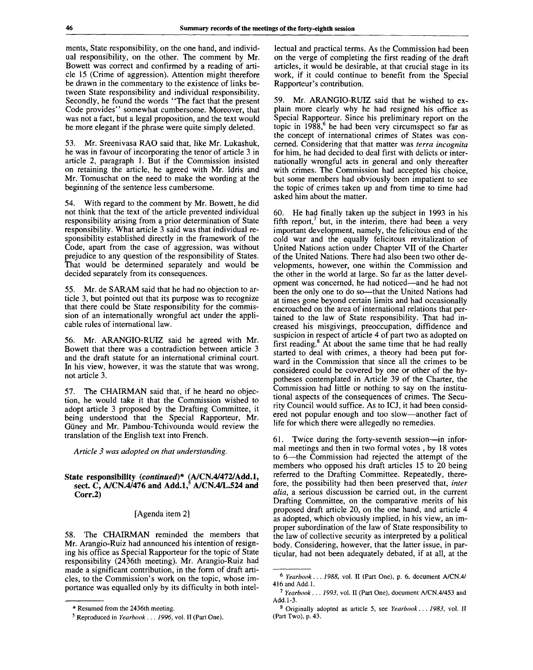ments, State responsibility, on the one hand, and individual responsibility, on the other. The comment by Mr. Bowett was correct and confirmed by a reading of article 15 (Crime of aggression). Attention might therefore be drawn in the commentary to the existence of links between State responsibility and individual responsibility. Secondly, he found the words "The fact that the present Code provides" somewhat cumbersome. Moreover, that was not a fact, but a legal proposition, and the text would be more elegant if the phrase were quite simply deleted.

53. Mr. Sreenivasa RAO said that, like Mr. Lukashuk, he was in favour of incorporating the tenor of article 3 in article 2, paragraph 1. But if the Commission insisted on retaining the article, he agreed with Mr. Idris and Mr. Tomuschat on the need to make the wording at the beginning of the sentence less cumbersome.

54. With regard to the comment by Mr. Bowett, he did not think that the text of the article prevented individual responsibility arising from a prior determination of State responsibility. What article 3 said was that individual responsibility established directly in the framework of the Code, apart from the case of aggression, was without prejudice to any question of the responsibility of States. That would be determined separately and would be decided separately from its consequences.

55. Mr. de SARAM said that he had no objection to article 3, but pointed out that its purpose was to recognize that there could be State responsibility for the commission of an internationally wrongful act under the applicable rules of international law.

56. Mr. ARANGIO-RUIZ said he agreed with Mr. Bowett that there was a contradiction between article 3 and the draft statute for an international criminal court. In his view, however, it was the statute that was wrong, not article 3.

57. The CHAIRMAN said that, if he heard no objection, he would take it that the Commission wished to adopt article 3 proposed by the Drafting Committee, it being understood that the Special Rapporteur, Mr. Giiney and Mr. Pambou-Tchivounda would review the translation of the English text into French.

*Article 3 was adopted on that understanding.*

## **State responsibility** *(continued)\** **(A/CN.4/472/Add.l,** sect. C, A/CN.4/476 and Add.1,<sup>5</sup> A/CN.4/L.524 and **Corr.2)**

#### [Agenda item 2]

58. The CHAIRMAN reminded the members that Mr. Arangio-Ruiz had announced his intention of resigning his office as Special Rapporteur for the topic of State responsibility (2436th meeting). Mr. Arangio-Ruiz had made a significant contribution, in the form of draft articles, to the Commission's work on the topic, whose importance was equalled only by its difficulty in both intellectual and practical terms. As the Commission had been on the verge of completing the first reading of the draft articles, it would be desirable, at that crucial stage in its work, if it could continue to benefit from the Special Rapporteur's contribution.

59. Mr. ARANGIO-RUIZ said that he wished to explain more clearly why he had resigned his office as Special Rapporteur. Since his preliminary report on the topic in  $1988$ ,<sup>6</sup> he had been very circumspect so far as the concept of international crimes of States was concerned. Considering that that matter was *terra incognita* for him, he had decided to deal first with delicts or internationally wrongful acts in general and only thereafter with crimes. The Commission had accepted his choice, but some members had obviously been impatient to see the topic of crimes taken up and from time to time had asked him about the matter.

60. He had finally taken up the subject in 1993 in his fifth report,<sup>7</sup> but, in the interim, there had been a very important development, namely, the felicitous end of the cold war and the equally felicitous revitalization of United Nations action under Chapter VII of the Charter of the United Nations. There had also been two other developments, however, one within the Commission and the other in the world at large. So far as the latter development was concerned, he had noticed—and he had not been the only one to do so—that the United Nations had at times gone beyond certain limits and had occasionally encroached on the area of international relations that pertained to the law of State responsibility. That had increased his misgivings, preoccupation, diffidence and suspicion in respect of article 4 of part two as adopted on First reading.<sup>8</sup> At about the same time that he had really started to deal with crimes, a theory had been put forward in the Commission that since all the crimes to be considered could be covered by one or other of the hypotheses contemplated in Article 39 of the Charter, the Commission had little or nothing to say on the institutional aspects of the consequences of crimes. The Security Council would suffice. As to ICJ, it had been considered not popular enough and too slow—another fact of life for which there were allegedly no remedies.

61. Twice during the forty-seventh session—in informal meetings and then in two formal votes , by 18 votes to 6—the Commission had rejected the attempt of the members who opposed his draft articles 15 to 20 being referred to the Drafting Committee. Repeatedly, therefore, the possibility had then been preserved that, *inter alia,* a serious discussion be carried out, in the current Drafting Committee, on the comparative merits of his proposed draft article 20, on the one hand, and article 4 as adopted, which obviously implied, in his view, an improper subordination of the law of State responsibility to the law of collective security as interpreted by a political body. Considering, however, that the latter issue, in particular, had not been adequately debated, if at all, at the

<sup>\*</sup> Resumed from the 2436th meeting.

<sup>5</sup> Reproduced in *Yearbook . . . 1996,* vol. II (Part One).

<sup>6</sup>  *Yearbook. . . 1988,* vol. II (Part One), p. 6, document A/CN.4/ 416 and Add.l.

<sup>7</sup>  *Yearbook. . . 1993,* vol. II (Part One), document A/CN.4/453 and Add. 1-3.

<sup>8</sup> Originally adopted as article 5, see *Yearbook. . . 1983,* vol. II (Part Two), p. 43.